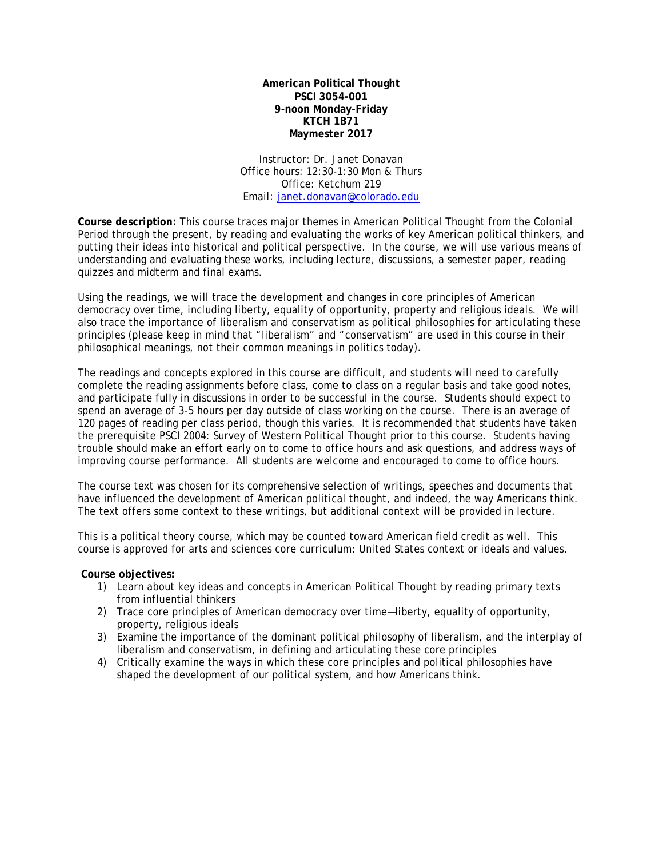**American Political Thought PSCI 3054-001 9-noon Monday-Friday KTCH 1B71 Maymester 2017**

Instructor: Dr. Janet Donavan Office hours: 12:30-1:30 Mon & Thurs Office: Ketchum 219 Email: [janet.donavan@colorado.edu](mailto:janet.donavan@colorado.edu)

**Course description:** This course traces major themes in American Political Thought from the Colonial Period through the present, by reading and evaluating the works of key American political thinkers, and putting their ideas into historical and political perspective. In the course, we will use various means of understanding and evaluating these works, including lecture, discussions, a semester paper, reading quizzes and midterm and final exams.

Using the readings, we will trace the development and changes in core principles of American democracy over time, including liberty, equality of opportunity, property and religious ideals. We will also trace the importance of liberalism and conservatism as political philosophies for articulating these principles (please keep in mind that "liberalism" and "conservatism" are used in this course in their philosophical meanings, not their common meanings in politics today).

The readings and concepts explored in this course are difficult, and students will need to carefully complete the reading assignments before class, come to class on a regular basis and take good notes, and participate fully in discussions in order to be successful in the course. Students should expect to spend an average of 3-5 hours per day outside of class working on the course. There is an average of 120 pages of reading per class period, though this varies. It is recommended that students have taken the prerequisite PSCI 2004: Survey of Western Political Thought prior to this course. Students having trouble should make an effort early on to come to office hours and ask questions, and address ways of improving course performance. All students are welcome and encouraged to come to office hours.

The course text was chosen for its comprehensive selection of writings, speeches and documents that have influenced the development of American political thought, and indeed, the way Americans think. The text offers some context to these writings, but additional context will be provided in lecture.

This is a political theory course, which may be counted toward American field credit as well. This course is approved for arts and sciences core curriculum: United States context or ideals and values.

## **Course objectives:**

- 1) Learn about key ideas and concepts in American Political Thought by reading primary texts from influential thinkers
- 2) Trace core principles of American democracy over time—liberty, equality of opportunity, property, religious ideals
- 3) Examine the importance of the dominant political philosophy of liberalism, and the interplay of liberalism and conservatism, in defining and articulating these core principles
- 4) Critically examine the ways in which these core principles and political philosophies have shaped the development of our political system, and how Americans think.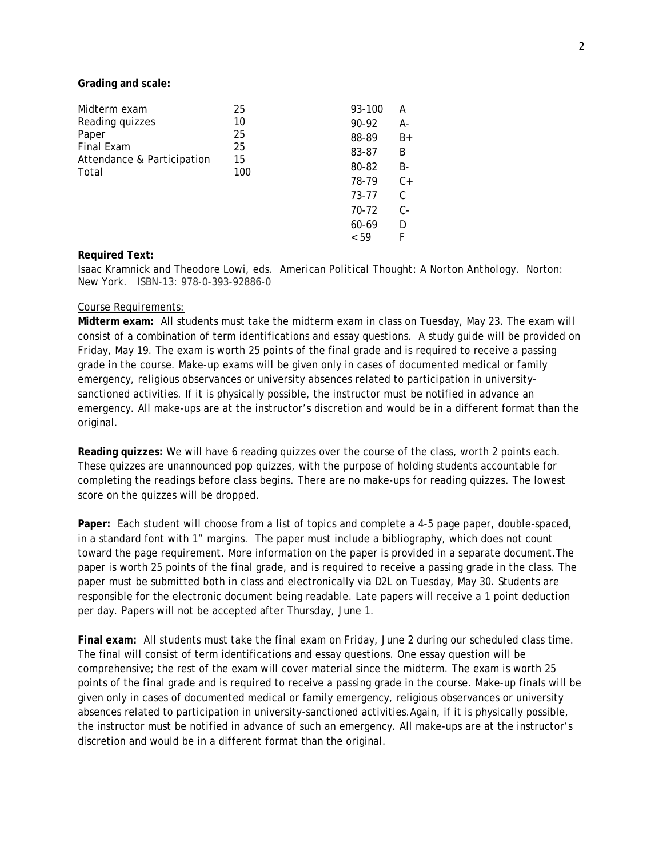**Grading and scale:**

| Midterm exam               | 25        | 93-100    | А     |
|----------------------------|-----------|-----------|-------|
| Reading quizzes            | 10        | 90-92     | А-    |
| Paper                      | 25        | 88-89     | $B+$  |
| <b>Final Exam</b>          | 25        | 83-87     | B     |
| Attendance & Participation | 15<br>100 | 80-82     | B-    |
| Total                      |           |           |       |
|                            |           | 78-79     | $C+$  |
|                            |           | 73-77     | C     |
|                            |           | 70-72     | $C -$ |
|                            |           | 60-69     | D     |
|                            |           | $\leq 59$ | F     |

#### **Required Text:**

Isaac Kramnick and Theodore Lowi, eds. *American Political Thought: A Norton Anthology.* Norton: New York. ISBN-13: 978-0-393-92886-0

### Course Requirements:

**Midterm exam:** All students must take the midterm exam in class on Tuesday, May 23. The exam will consist of a combination of term identifications and essay questions. A study guide will be provided on Friday, May 19. The exam is worth 25 points of the final grade and is required to receive a passing grade in the course. Make-up exams will be given only in cases of documented medical or family emergency, religious observances or university absences related to participation in universitysanctioned activities. If it is physically possible, the instructor must be notified in advance an emergency. All make-ups are at the instructor's discretion and would be in a different format than the original.

**Reading quizzes:** We will have 6 reading quizzes over the course of the class, worth 2 points each. These quizzes are unannounced pop quizzes, with the purpose of holding students accountable for completing the readings before class begins. There are no make-ups for reading quizzes. The lowest score on the quizzes will be dropped.

**Paper:** Each student will choose from a list of topics and complete a 4-5 page paper, double-spaced, in a standard font with 1" margins. The paper must include a bibliography, which does not count toward the page requirement. More information on the paper is provided in a separate document.The paper is worth 25 points of the final grade, and is required to receive a passing grade in the class. The paper must be submitted both in class and electronically via D2L on Tuesday, May 30. Students are responsible for the electronic document being readable. Late papers will receive a 1 point deduction per day. Papers will not be accepted after Thursday, June 1.

**Final exam:** All students must take the final exam on Friday, June 2 during our scheduled class time. The final will consist of term identifications and essay questions. One essay question will be comprehensive; the rest of the exam will cover material since the midterm. The exam is worth 25 points of the final grade and is required to receive a passing grade in the course. Make-up finals will be given only in cases of documented medical or family emergency, religious observances or university absences related to participation in university-sanctioned activities.Again, if it is physically possible, the instructor must be notified in advance of such an emergency. All make-ups are at the instructor's discretion and would be in a different format than the original.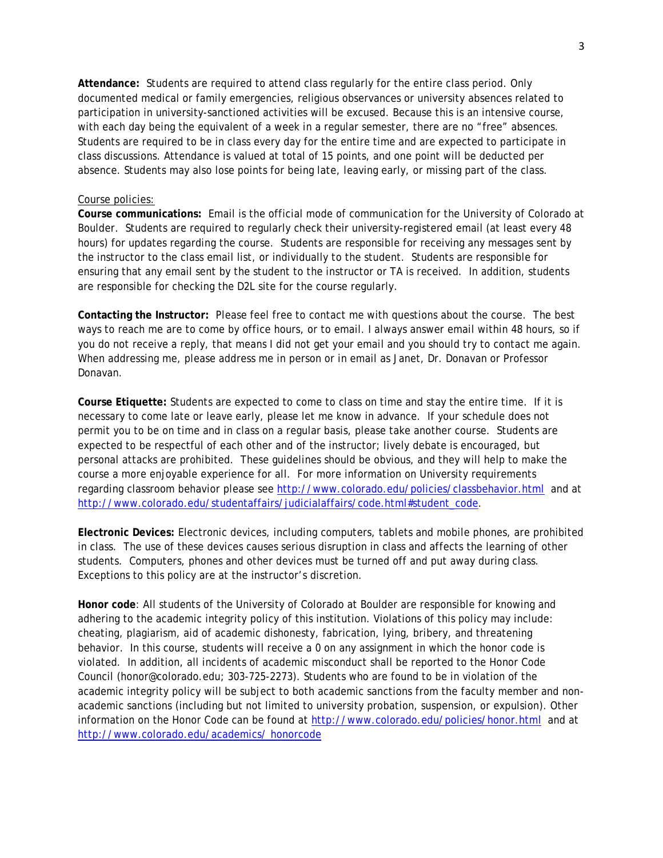**Attendance:** Students are required to attend class regularly for the entire class period. Only documented medical or family emergencies, religious observances or university absences related to participation in university-sanctioned activities will be excused. Because this is an intensive course, with each day being the equivalent of a week in a regular semester, there are no "free" absences. Students are required to be in class every day for the entire time and are expected to participate in class discussions. Attendance is valued at total of 15 points, and one point will be deducted per absence. Students may also lose points for being late, leaving early, or missing part of the class.

### Course policies:

**Course communications:** Email is the official mode of communication for the University of Colorado at Boulder. Students are required to regularly check their university-registered email (at least every 48 hours) for updates regarding the course. Students are responsible for receiving any messages sent by the instructor to the class email list, or individually to the student. Students are responsible for ensuring that any email sent by the student to the instructor or TA is received. In addition, students are responsible for checking the D2L site for the course regularly.

**Contacting the Instructor:** Please feel free to contact me with questions about the course. The best ways to reach me are to come by office hours, or to email. I always answer email within 48 hours, so if you do not receive a reply, that means I did not get your email and you should try to contact me again. When addressing me, please address me in person or in email as Janet, Dr. Donavan or Professor Donavan.

**Course Etiquette:** Students are expected to come to class on time and stay the entire time. If it is necessary to come late or leave early, please let me know in advance. If your schedule does not permit you to be on time and in class on a regular basis, please take another course. Students are expected to be respectful of each other and of the instructor; lively debate is encouraged, but personal attacks are prohibited. These guidelines should be obvious, and they will help to make the course a more enjoyable experience for all. For more information on University requirements regarding classroom behavior please see<http://www.colorado.edu/policies/classbehavior.html> and at [http://www.colorado.edu/studentaffairs/judicialaffairs/code.html#student\\_code.](http://www.colorado.edu/studentaffairs/judicialaffairs/code.html#student_code)

**Electronic Devices:** Electronic devices, including computers, tablets and mobile phones, are prohibited in class. The use of these devices causes serious disruption in class and affects the learning of other students. Computers, phones and other devices must be turned off and put away during class. Exceptions to this policy are at the instructor's discretion.

**Honor code**: All students of the University of Colorado at Boulder are responsible for knowing and adhering to the academic integrity policy of this institution. Violations of this policy may include: cheating, plagiarism, aid of academic dishonesty, fabrication, lying, bribery, and threatening behavior. In this course, students will receive a 0 on any assignment in which the honor code is violated. In addition, all incidents of academic misconduct shall be reported to the Honor Code Council (honor@colorado.edu; 303-725-2273). Students who are found to be in violation of the academic integrity policy will be subject to both academic sanctions from the faculty member and nonacademic sanctions (including but not limited to university probation, suspension, or expulsion). Other information on the Honor Code can be found at<http://www.colorado.edu/policies/honor.html> and at [http://www.colorado.edu/academics/ honorcode](http://www.colorado.edu/academics/honorcode)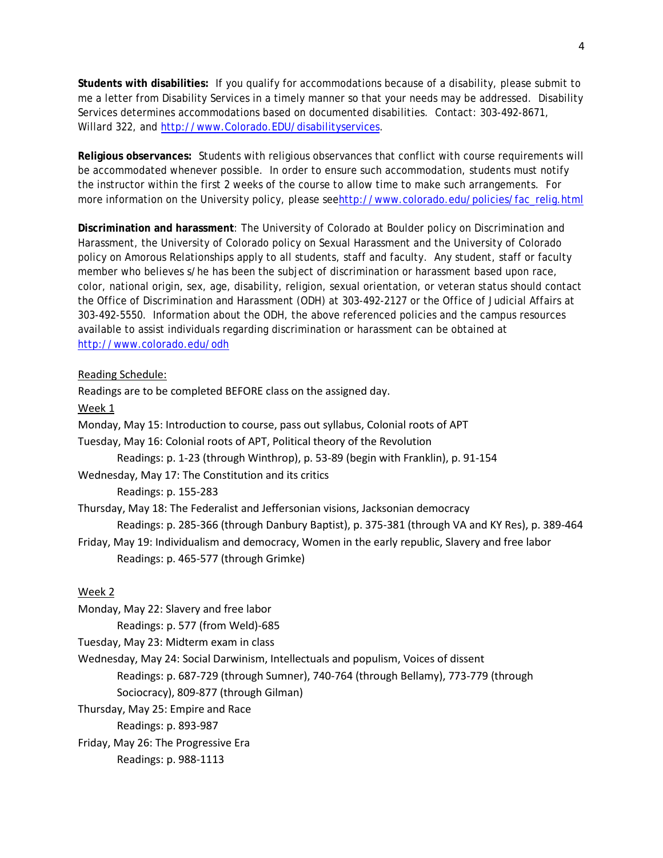**Students with disabilities:** If you qualify for accommodations because of a disability, please submit to me a letter from Disability Services in a timely manner so that your needs may be addressed. Disability Services determines accommodations based on documented disabilities. Contact: 303-492-8671, Willard 322, and [http://www.Colorado.EDU/disabilityservices.](http://www.colorado.edu/disabilityservices)

**Religious observances:** Students with religious observances that conflict with course requirements will be accommodated whenever possible. In order to ensure such accommodation, students must notify the instructor within the first 2 weeks of the course to allow time to make such arrangements. For more information on the University policy, please se[ehttp://www.colorado.edu/policies/fac\\_relig.html](http://www.colorado.edu/policies/fac_relig.html)

**Discrimination and harassment**: The University of Colorado at Boulder policy on Discrimination and Harassment, the University of Colorado policy on Sexual Harassment and the University of Colorado policy on Amorous Relationships apply to all students, staff and faculty. Any student, staff or faculty member who believes s/he has been the subject of discrimination or harassment based upon race, color, national origin, sex, age, disability, religion, sexual orientation, or veteran status should contact the Office of Discrimination and Harassment (ODH) at 303-492-2127 or the Office of Judicial Affairs at 303-492-5550. Information about the ODH, the above referenced policies and the campus resources available to assist individuals regarding discrimination or harassment can be obtained at <http://www.colorado.edu/odh>

# Reading Schedule:

Readings are to be completed BEFORE class on the assigned day. Week 1 Monday, May 15: Introduction to course, pass out syllabus, Colonial roots of APT Tuesday, May 16: Colonial roots of APT, Political theory of the Revolution Readings: p. 1-23 (through Winthrop), p. 53-89 (begin with Franklin), p. 91-154 Wednesday, May 17: The Constitution and its critics Readings: p. 155-283 Thursday, May 18: The Federalist and Jeffersonian visions, Jacksonian democracy Readings: p. 285-366 (through Danbury Baptist), p. 375-381 (through VA and KY Res), p. 389-464 Friday, May 19: Individualism and democracy, Women in the early republic, Slavery and free labor Readings: p. 465-577 (through Grimke) Week 2

Monday, May 22: Slavery and free labor

Readings: p. 577 (from Weld)-685

Tuesday, May 23: Midterm exam in class

Wednesday, May 24: Social Darwinism, Intellectuals and populism, Voices of dissent Readings: p. 687-729 (through Sumner), 740-764 (through Bellamy), 773-779 (through Sociocracy), 809-877 (through Gilman)

Thursday, May 25: Empire and Race

Readings: p. 893-987

Friday, May 26: The Progressive Era

Readings: p. 988-1113